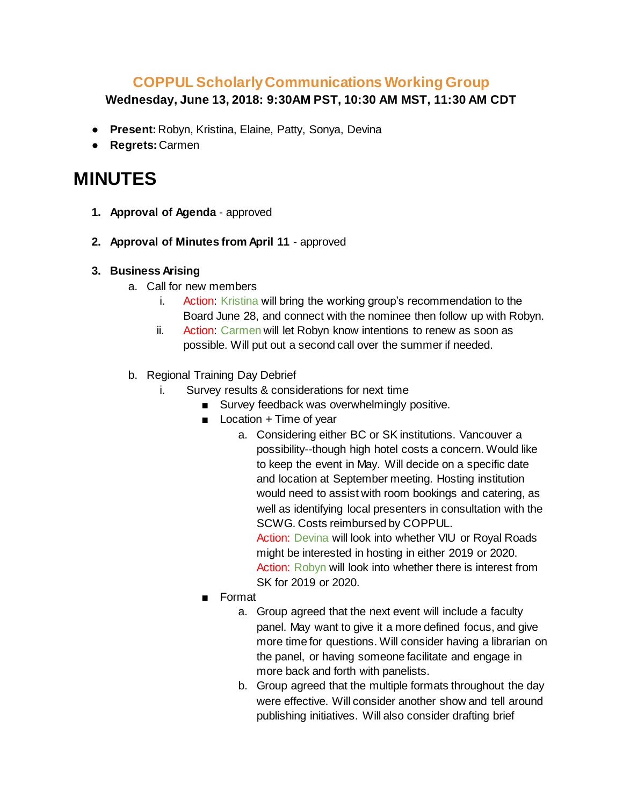## **COPPUL Scholarly Communications Working Group**

**Wednesday, June 13, 2018: 9:30AM PST, 10:30 AM MST, 11:30 AM CDT**

- **Present:** Robyn, Kristina, Elaine, Patty, Sonya, Devina
- **Regrets:** Carmen

## **MINUTES**

- **1. Approval of Agenda** approved
- **2. Approval of [Minutes](https://drive.google.com/open?id=1hSPQuimPNu0Kj2ED3vYEPQN76TwF4-mVGJpoOb-PoB0) from April 11**  approved

## **3. Business Arising**

- a. Call for new members
	- i. Action: Kristina will bring the working group's recommendation to the Board June 28, and connect with the nominee then follow up with Robyn.
	- ii. Action: Carmen will let Robyn know intentions to renew as soon as possible. Will put out a second call over the summer if needed.
- b. Regional Training Day Debrief
	- i. Survey results & considerations for next time
		- Survey feedback was overwhelmingly positive.
		- Location + Time of year
			- a. Considering either BC or SK institutions. Vancouver a possibility--though high hotel costs a concern. Would like to keep the event in May. Will decide on a specific date and location at September meeting. Hosting institution would need to assist with room bookings and catering, as well as identifying local presenters in consultation with the SCWG. Costs reimbursed by COPPUL. Action: Devina will look into whether VIU or Royal Roads

might be interested in hosting in either 2019 or 2020. Action: Robyn will look into whether there is interest from SK for 2019 or 2020.

- Format
	- a. Group agreed that the next event will include a faculty panel. May want to give it a more defined focus, and give more time for questions. Will consider having a librarian on the panel, or having someone facilitate and engage in more back and forth with panelists.
	- b. Group agreed that the multiple formats throughout the day were effective. Will consider another show and tell around publishing initiatives. Will also consider drafting brief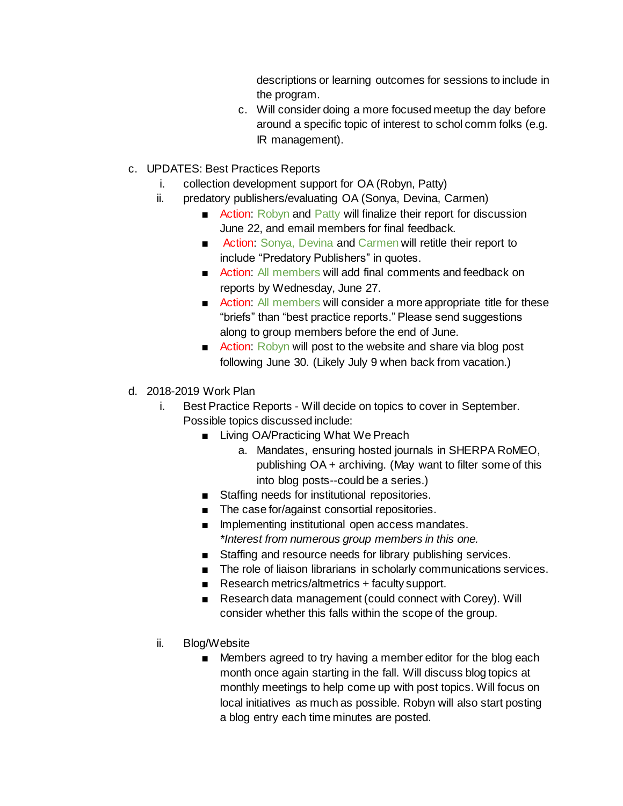descriptions or learning outcomes for sessions to include in the program.

- c. Will consider doing a more focused meetup the day before around a specific topic of interest to schol comm folks (e.g. IR management).
- c. UPDATES: Best Practices Reports
	- i. collection development support for OA (Robyn, Patty)
	- ii. predatory publishers/evaluating OA (Sonya, Devina, Carmen)
		- Action: Robyn and Patty will finalize their report for discussion June 22, and email members for final feedback.
		- Action: Sonya, Devina and Carmen will retitle their report to include "Predatory Publishers" in quotes.
		- Action: All members will add final comments and feedback on reports by Wednesday, June 27.
		- Action: All members will consider a more appropriate title for these "briefs" than "best practice reports." Please send suggestions along to group members before the end of June.
		- Action: Robyn will post to the website and share via blog post following June 30. (Likely July 9 when back from vacation.)
- d. 2018-2019 Work Plan
	- i. Best Practice Reports Will decide on topics to cover in September. Possible topics discussed include:
		- Living OA/Practicing What We Preach
			- a. Mandates, ensuring hosted journals in SHERPA RoMEO, publishing OA + archiving. (May want to filter some of this into blog posts--could be a series.)
		- Staffing needs for institutional repositories.
		- The case for/against consortial repositories.
		- Implementing institutional open access mandates. *\*Interest from numerous group members in this one.*
		- Staffing and resource needs for library publishing services.
		- The role of liaison librarians in scholarly communications services.
		- Research metrics/altmetrics + faculty support.
		- Research data management (could connect with Corey). Will consider whether this falls within the scope of the group.
	- ii. Blog/Website
		- Members agreed to try having a member editor for the blog each month once again starting in the fall. Will discuss blog topics at monthly meetings to help come up with post topics. Will focus on local initiatives as much as possible. Robyn will also start posting a blog entry each time minutes are posted.